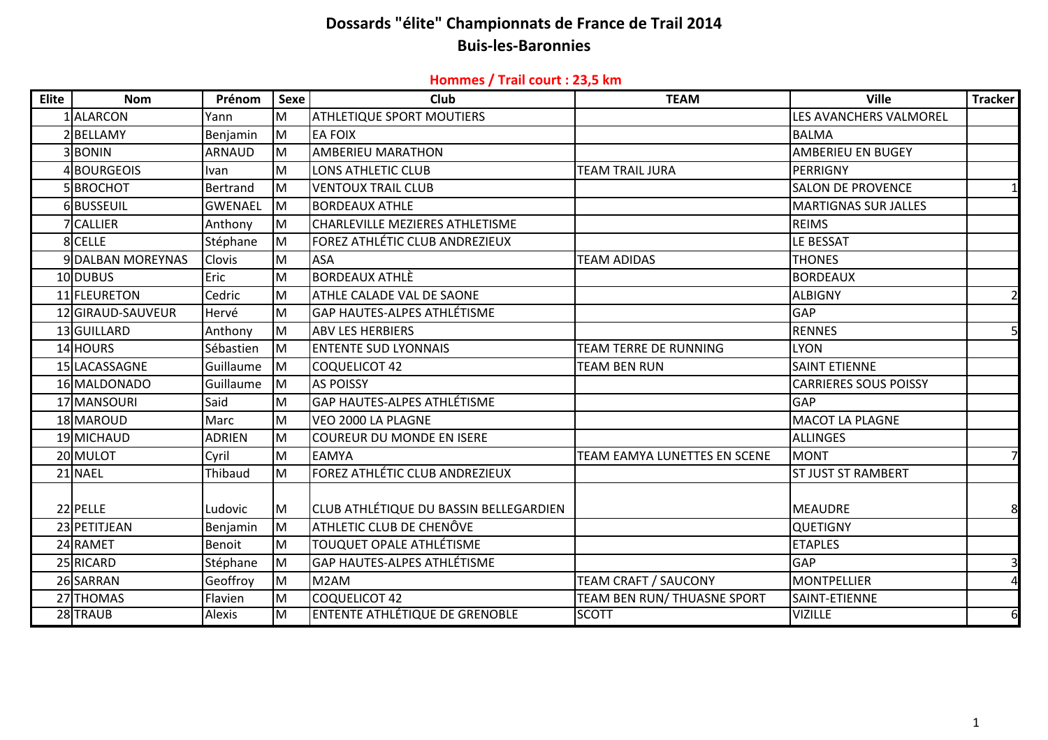## **Dossards "élite" Championnats de France de Trail 2014 Buis‐les‐Baronnies**

#### **Hommes / Trail court : 23,5 km**

| <b>Elite</b> | <b>Nom</b>        | Prénom         | <b>Sexe</b> | Club                                   | <b>TEAM</b>                  | <b>Ville</b>                 | <b>Tracker</b> |
|--------------|-------------------|----------------|-------------|----------------------------------------|------------------------------|------------------------------|----------------|
|              | 1 ALARCON         | Yann           | M           | <b>ATHLETIQUE SPORT MOUTIERS</b>       |                              | LES AVANCHERS VALMOREL       |                |
|              | 2 BFLLAMY         | Benjamin       | M           | <b>EA FOIX</b>                         |                              | <b>BALMA</b>                 |                |
|              | 3BONIN            | <b>ARNAUD</b>  | M           | <b>AMBERIEU MARATHON</b>               |                              | <b>AMBERIEU EN BUGEY</b>     |                |
|              | BOURGEOIS         | <b>Ivan</b>    | M           | <b>LONS ATHLETIC CLUB</b>              | <b>TEAM TRAIL JURA</b>       | PERRIGNY                     |                |
|              | 5BROCHOT          | Bertrand       | M           | <b>VENTOUX TRAIL CLUB</b>              |                              | <b>SALON DE PROVENCE</b>     |                |
|              | 6BUSSEUIL         | <b>GWENAEL</b> | M           | <b>BORDEAUX ATHLE</b>                  |                              | <b>MARTIGNAS SUR JALLES</b>  |                |
|              | <b>CALLIER</b>    | Anthony        | M           | <b>CHARLEVILLE MEZIERES ATHLETISME</b> |                              | <b>REIMS</b>                 |                |
|              | 8 CELLE           | Stéphane       | M           | FOREZ ATHLÉTIC CLUB ANDREZIEUX         |                              | LE BESSAT                    |                |
|              | 9 DALBAN MOREYNAS | Clovis         | M           | ASA                                    | <b>TEAM ADIDAS</b>           | <b>THONES</b>                |                |
|              | 10 DUBUS          | Eric           | M           | <b>BORDEAUX ATHLE</b>                  |                              | <b>BORDEAUX</b>              |                |
|              | 11 FLEURETON      | Cedric         | M           | ATHLE CALADE VAL DE SAONE              |                              | <b>ALBIGNY</b>               | $\overline{2}$ |
|              | 12 GIRAUD-SAUVEUR | Hervé          | M           | <b>GAP HAUTES-ALPES ATHLÉTISME</b>     |                              | <b>GAP</b>                   |                |
|              | 13 GUILLARD       | Anthony        | M           | <b>ABV LES HERBIERS</b>                |                              | <b>RENNES</b>                | 5              |
|              | 14 HOURS          | Sébastien      | M           | <b>ENTENTE SUD LYONNAIS</b>            | <b>TEAM TERRE DE RUNNING</b> | <b>LYON</b>                  |                |
|              | 15 LACASSAGNE     | Guillaume      | M           | <b>COQUELICOT 42</b>                   | <b>TEAM BEN RUN</b>          | <b>SAINT ETIENNE</b>         |                |
|              | 16 MALDONADO      | Guillaume      | M           | <b>AS POISSY</b>                       |                              | <b>CARRIERES SOUS POISSY</b> |                |
|              | 17 MANSOURI       | Said           | M           | <b>GAP HAUTES-ALPES ATHLETISME</b>     |                              | <b>GAP</b>                   |                |
|              | 18 MAROUD         | Marc           | M           | VEO 2000 LA PLAGNE                     |                              | <b>MACOT LA PLAGNE</b>       |                |
|              | 19 MICHAUD        | <b>ADRIEN</b>  | M           | <b>COUREUR DU MONDE EN ISERE</b>       |                              | <b>ALLINGES</b>              |                |
|              | 20 MULOT          | Cyril          | M           | <b>EAMYA</b>                           | TEAM EAMYA LUNETTES EN SCENE | <b>MONT</b>                  |                |
|              | 21 NAEL           | Thibaud        | M           | FOREZ ATHLÉTIC CLUB ANDREZIEUX         |                              | <b>ST JUST ST RAMBERT</b>    |                |
|              |                   |                |             |                                        |                              |                              |                |
|              | 22 PELLE          | Ludovic        | M           | CLUB ATHLÉTIQUE DU BASSIN BELLEGARDIEN |                              | <b>MEAUDRE</b>               |                |
|              | 23 PETITJEAN      | Benjamin       | İМ          | ATHLETIC CLUB DE CHENÔVE               |                              | <b>QUETIGNY</b>              |                |
|              | 24 RAMET          | <b>Benoit</b>  | M           | <b>TOUQUET OPALE ATHLÉTISME</b>        |                              | <b>ETAPLES</b>               |                |
|              | 25 RICARD         | Stéphane       | M           | <b>GAP HAUTES-ALPES ATHLÉTISME</b>     |                              | <b>GAP</b>                   |                |
|              | 26 SARRAN         | Geoffroy       | M           | M2AM                                   | <b>TEAM CRAFT / SAUCONY</b>  | <b>MONTPELLIER</b>           | Δ              |
|              | 27 THOMAS         | Flavien        | M           | <b>COQUELICOT 42</b>                   | TEAM BEN RUN/ THUASNE SPORT  | SAINT-ETIENNE                |                |
|              | 28 TRAUB          | Alexis         | M           | <b>ENTENTE ATHLÉTIQUE DE GRENOBLE</b>  | <b>SCOTT</b>                 | <b>VIZILLE</b>               | 6              |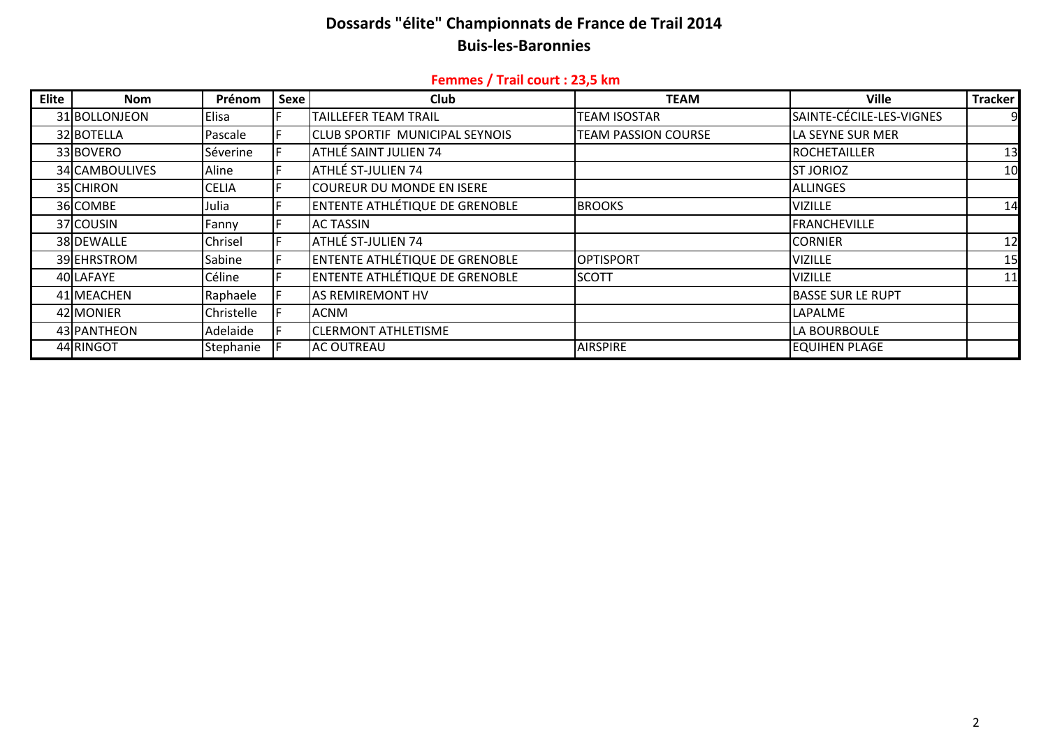# Dossards "élite" Championnats de France de Trail 2014 **Buis-les-Baronnies**

### Femmes / Trail court : 23,5 km

| Elite | <b>Nom</b>     | Prénom       | Sexe | <b>Club</b>                           | <b>TEAM</b>                | <b>Ville</b>             | Tracker |
|-------|----------------|--------------|------|---------------------------------------|----------------------------|--------------------------|---------|
|       | 31 BOLLONJEON  | Elisa        |      | TAILLEFER TEAM TRAIL                  | TEAM ISOSTAR               | SAINTE-CÉCILE-LES-VIGNES |         |
|       | 32 BOTELLA     | Pascale      |      | <b>CLUB SPORTIF MUNICIPAL SEYNOIS</b> | <b>TEAM PASSION COURSE</b> | LA SEYNE SUR MER         |         |
|       | 33 BOVERO      | Séverine     |      | ATHLÉ SAINT JULIEN 74                 |                            | <b>IROCHETAILLER</b>     | 13      |
|       | 34 CAMBOULIVES | Aline        |      | ATHLÉ ST-JULIEN 74                    |                            | <b>IST JORIOZ</b>        | 10      |
|       | 35 CHIRON      | <b>CELIA</b> |      | <b>COUREUR DU MONDE EN ISERE</b>      |                            | <b>ALLINGES</b>          |         |
|       | 36 COMBE       | Julia        |      | ENTENTE ATHLÉTIQUE DE GRENOBLE        | <b>BROOKS</b>              | <b>VIZILLE</b>           | 14      |
|       | 37 COUSIN      | Fanny        |      | <b>AC TASSIN</b>                      |                            | <b>FRANCHEVILLE</b>      |         |
|       | 38 DEWALLE     | Chrisel      |      | ATHLÉ ST-JULIEN 74                    |                            | <b>CORNIER</b>           | 12      |
|       | 39 EHRSTROM    | Sabine       |      | <b>ENTENTE ATHLÉTIQUE DE GRENOBLE</b> | <b>OPTISPORT</b>           | <b>VIZILLE</b>           | 15      |
|       | 40 LAFAYE      | Céline       |      | ENTENTE ATHLÉTIQUE DE GRENOBLE        | <b>SCOTT</b>               | <b>VIZILLE</b>           | 11      |
|       | 41 MEACHEN     | Raphaele     |      | <b>AS REMIREMONT HV</b>               |                            | <b>BASSE SUR LE RUPT</b> |         |
|       | 42 MONIER      | Christelle   |      | <b>ACNM</b>                           |                            | LAPALME                  |         |
|       | 43 PANTHEON    | Adelaide     |      | <b>CLERMONT ATHLETISME</b>            |                            | LA BOURBOULE             |         |
|       | 44 RINGOT      | Stephanie    |      | <b>AC OUTREAU</b>                     | <b>AIRSPIRE</b>            | <b>EQUIHEN PLAGE</b>     |         |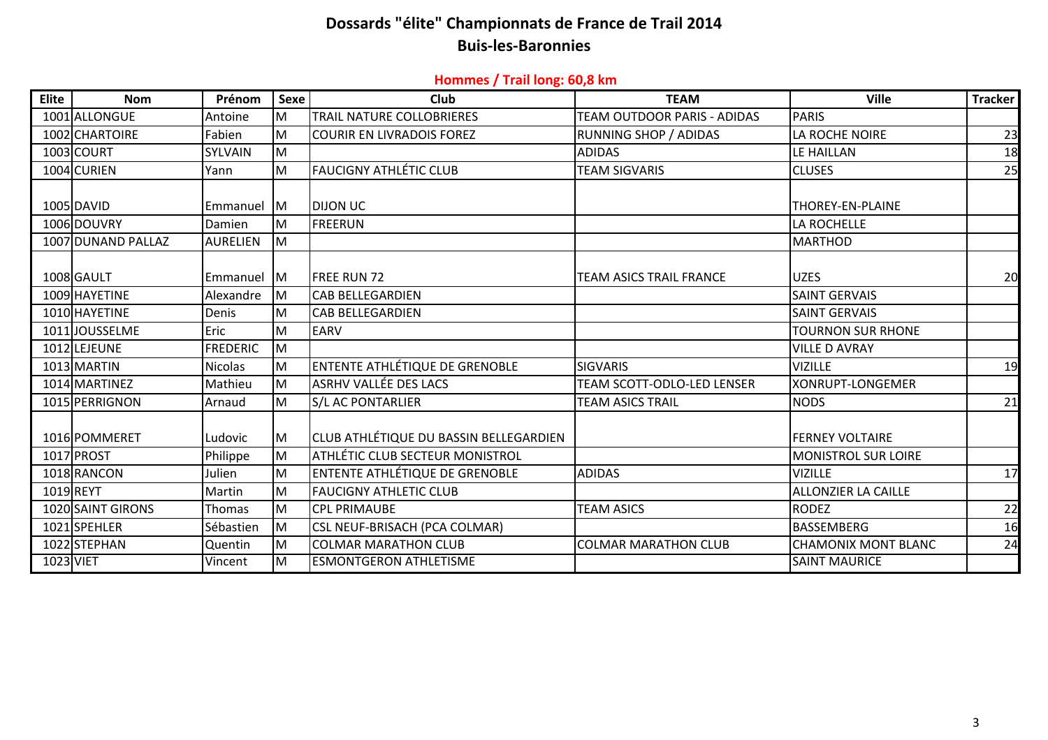## **Dossards "élite" Championnats de France de Trail 2014 Buis‐les‐Baronnies**

#### **Hommes / Trail long: 60,8 km**

| <b>Elite</b> | <b>Nom</b>         | Prénom          | Sexe       | Club                                          | <b>TEAM</b>                       | <b>Ville</b>               | Tracker |
|--------------|--------------------|-----------------|------------|-----------------------------------------------|-----------------------------------|----------------------------|---------|
|              | 1001 ALLONGUE      | Antoine         | M          | <b>TRAIL NATURE COLLOBRIERES</b>              | TEAM OUTDOOR PARIS - ADIDAS       | <b>PARIS</b>               |         |
|              | 1002 CHARTOIRE     | Fabien          | lм         | <b>COURIR EN LIVRADOIS FOREZ</b>              | RUNNING SHOP / ADIDAS             | LA ROCHE NOIRE             | 23      |
|              | 1003 COURT         | SYLVAIN         | İМ         |                                               | ADIDAS                            | LE HAILLAN                 | 18      |
|              | 1004 CURIEN        | Yann            | M          | <b>FAUCIGNY ATHLÉTIC CLUB</b>                 | <b>TEAM SIGVARIS</b>              | <b>CLUSES</b>              | 25      |
|              |                    |                 |            |                                               |                                   |                            |         |
|              | 1005 DAVID         | Emmanuel M      |            | <b>DIJON UC</b>                               |                                   | THOREY-EN-PLAINE           |         |
|              | 1006 DOUVRY        | Damien          | M          | FREERUN                                       |                                   | LA ROCHELLE                |         |
|              | 1007 DUNAND PALLAZ | <b>AURELIEN</b> | <b>I</b> M |                                               |                                   | <b>MARTHOD</b>             |         |
|              |                    |                 |            |                                               |                                   |                            |         |
|              | 1008 GAULT         | Emmanuel M      |            | <b>FREE RUN 72</b>                            | <b>TEAM ASICS TRAIL FRANCE</b>    | <b>UZES</b>                | 20      |
|              | 1009 HAYETINE      | Alexandre       | M          | <b>CAB BELLEGARDIEN</b>                       |                                   | <b>SAINT GERVAIS</b>       |         |
|              | 1010 HAYETINE      | Denis           | M          | <b>CAB BELLEGARDIEN</b>                       |                                   | <b>SAINT GERVAIS</b>       |         |
|              | 1011 JOUSSELME     | Eric            | M          | <b>EARV</b>                                   |                                   | <b>TOURNON SUR RHONE</b>   |         |
|              | 1012 LEJEUNE       | <b>FREDERIC</b> | lм         |                                               |                                   | <b>VILLE D AVRAY</b>       |         |
|              | 1013 MARTIN        | <b>Nicolas</b>  | M          | <b>ENTENTE ATHLÉTIQUE DE GRENOBLE</b>         | <b>SIGVARIS</b>                   | <b>VIZILLE</b>             | 19      |
|              | 1014 MARTINEZ      | Mathieu         | M          | <b>ASRHV VALLÉE DES LACS</b>                  | <b>TEAM SCOTT-ODLO-LED LENSER</b> | XONRUPT-LONGEMER           |         |
|              | 1015 PERRIGNON     | Arnaud          | M          | <b>S/L AC PONTARLIER</b>                      | <b>TEAM ASICS TRAIL</b>           | <b>NODS</b>                | 21      |
|              |                    |                 |            |                                               |                                   |                            |         |
|              | 1016 POMMERET      | Ludovic         | M          | <b>CLUB ATHLÉTIQUE DU BASSIN BELLEGARDIEN</b> |                                   | <b>FERNEY VOLTAIRE</b>     |         |
|              | 1017 PROST         | Philippe        | M          | ATHLÉTIC CLUB SECTEUR MONISTROL               |                                   | <b>MONISTROL SUR LOIRE</b> |         |
|              | 1018 RANCON        | Julien          | M          | ENTENTE ATHLÉTIQUE DE GRENOBLE                | <b>ADIDAS</b>                     | <b>VIZILLE</b>             | 17      |
|              | 1019 REYT          | Martin          | M          | <b>FAUCIGNY ATHLETIC CLUB</b>                 |                                   | <b>ALLONZIER LA CAILLE</b> |         |
|              | 1020 SAINT GIRONS  | <b>Thomas</b>   | M          | <b>CPL PRIMAUBE</b>                           | <b>TEAM ASICS</b>                 | <b>RODEZ</b>               | 22      |
|              | 1021 SPEHLER       | Sébastien       | <b>M</b>   | <b>CSL NEUF-BRISACH (PCA COLMAR)</b>          |                                   | <b>BASSEMBERG</b>          | 16      |
|              | 1022 STEPHAN       | Quentin         | M          | <b>COLMAR MARATHON CLUB</b>                   | <b>COLMAR MARATHON CLUB</b>       | <b>CHAMONIX MONT BLANC</b> | 24      |
|              | <b>1023 VIET</b>   | Vincent         | Iм         | <b>ESMONTGERON ATHLETISME</b>                 |                                   | <b>SAINT MAURICE</b>       |         |